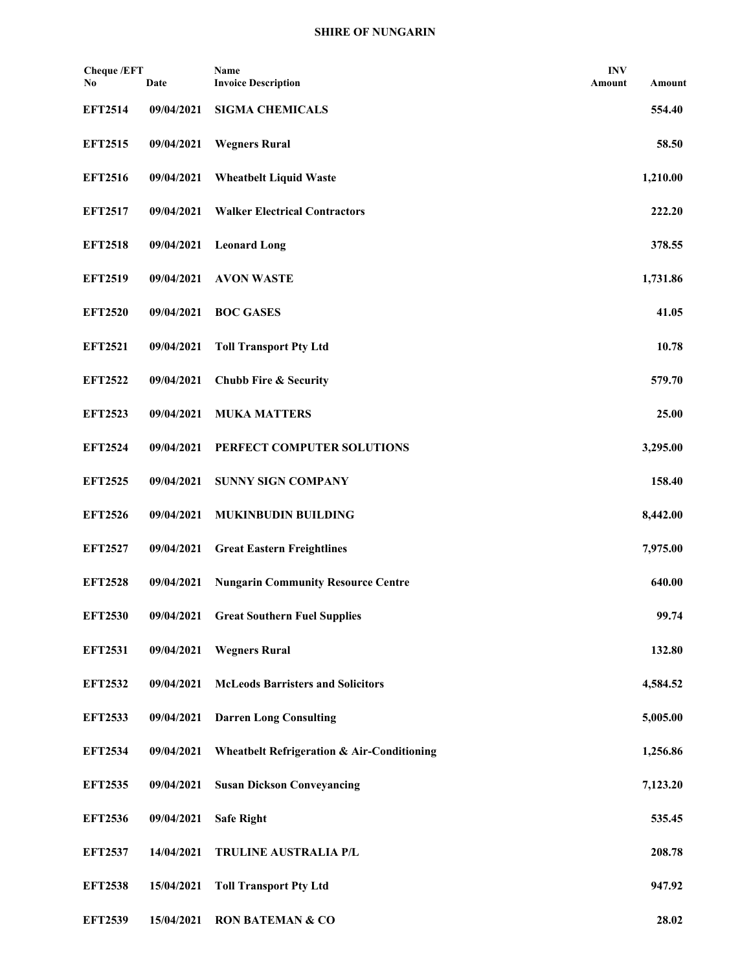| <b>Cheque /EFT</b><br>No | Date       | Name<br><b>Invoice Description</b>                    | <b>INV</b><br>Amount | Amount   |
|--------------------------|------------|-------------------------------------------------------|----------------------|----------|
| <b>EFT2514</b>           | 09/04/2021 | <b>SIGMA CHEMICALS</b>                                |                      | 554.40   |
| <b>EFT2515</b>           | 09/04/2021 | <b>Wegners Rural</b>                                  |                      | 58.50    |
| <b>EFT2516</b>           | 09/04/2021 | <b>Wheatbelt Liquid Waste</b>                         |                      | 1,210.00 |
| <b>EFT2517</b>           | 09/04/2021 | <b>Walker Electrical Contractors</b>                  |                      | 222.20   |
| <b>EFT2518</b>           | 09/04/2021 | <b>Leonard Long</b>                                   |                      | 378.55   |
| <b>EFT2519</b>           | 09/04/2021 | <b>AVON WASTE</b>                                     |                      | 1,731.86 |
| <b>EFT2520</b>           | 09/04/2021 | <b>BOC GASES</b>                                      |                      | 41.05    |
| <b>EFT2521</b>           | 09/04/2021 | <b>Toll Transport Pty Ltd</b>                         |                      | 10.78    |
| <b>EFT2522</b>           | 09/04/2021 | <b>Chubb Fire &amp; Security</b>                      |                      | 579.70   |
| <b>EFT2523</b>           | 09/04/2021 | <b>MUKA MATTERS</b>                                   |                      | 25.00    |
| <b>EFT2524</b>           | 09/04/2021 | PERFECT COMPUTER SOLUTIONS                            |                      | 3,295.00 |
| <b>EFT2525</b>           | 09/04/2021 | <b>SUNNY SIGN COMPANY</b>                             |                      | 158.40   |
| <b>EFT2526</b>           | 09/04/2021 | <b>MUKINBUDIN BUILDING</b>                            |                      | 8,442.00 |
| <b>EFT2527</b>           | 09/04/2021 | <b>Great Eastern Freightlines</b>                     |                      | 7,975.00 |
| <b>EFT2528</b>           | 09/04/2021 | <b>Nungarin Community Resource Centre</b>             |                      | 640.00   |
| <b>EFT2530</b>           | 09/04/2021 | <b>Great Southern Fuel Supplies</b>                   |                      | 99.74    |
| <b>EFT2531</b>           | 09/04/2021 | <b>Wegners Rural</b>                                  |                      | 132.80   |
| <b>EFT2532</b>           | 09/04/2021 | <b>McLeods Barristers and Solicitors</b>              |                      | 4,584.52 |
| <b>EFT2533</b>           | 09/04/2021 | <b>Darren Long Consulting</b>                         |                      | 5,005.00 |
| <b>EFT2534</b>           | 09/04/2021 | <b>Wheatbelt Refrigeration &amp; Air-Conditioning</b> |                      | 1,256.86 |
| <b>EFT2535</b>           | 09/04/2021 | <b>Susan Dickson Conveyancing</b>                     |                      | 7,123.20 |
| <b>EFT2536</b>           | 09/04/2021 | <b>Safe Right</b>                                     |                      | 535.45   |
| <b>EFT2537</b>           | 14/04/2021 | TRULINE AUSTRALIA P/L                                 |                      | 208.78   |
| <b>EFT2538</b>           | 15/04/2021 | <b>Toll Transport Pty Ltd</b>                         |                      | 947.92   |
| <b>EFT2539</b>           | 15/04/2021 | <b>RON BATEMAN &amp; CO</b>                           |                      | 28.02    |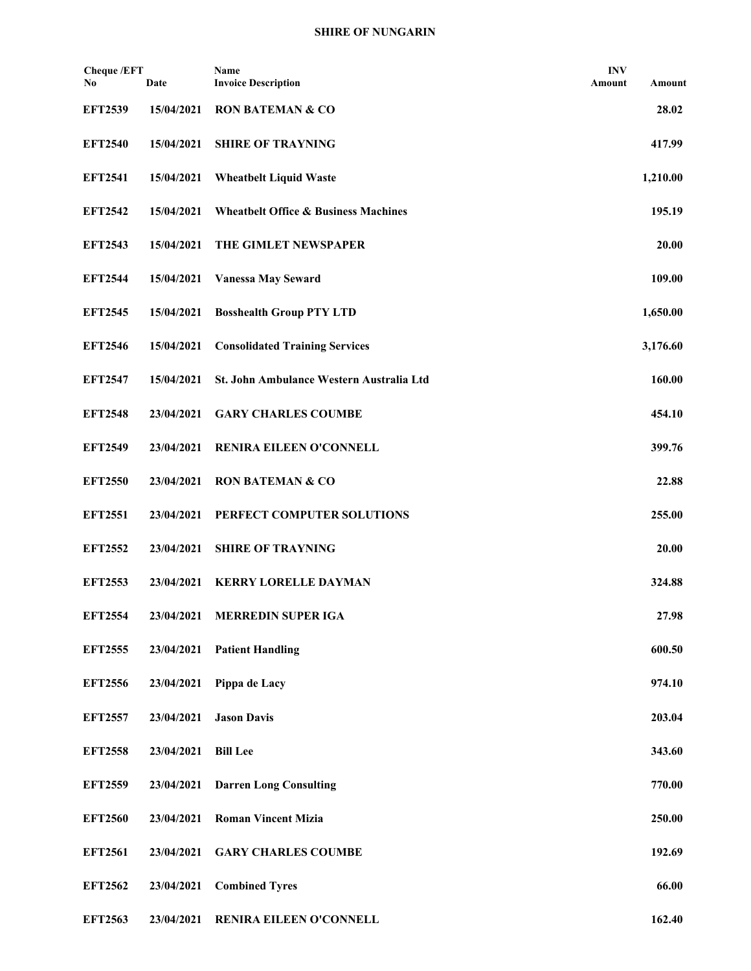| <b>Cheque /EFT</b><br>No | Date       | Name<br><b>Invoice Description</b>              | <b>INV</b><br>Amount | Amount   |
|--------------------------|------------|-------------------------------------------------|----------------------|----------|
| <b>EFT2539</b>           | 15/04/2021 | <b>RON BATEMAN &amp; CO</b>                     |                      | 28.02    |
| <b>EFT2540</b>           | 15/04/2021 | <b>SHIRE OF TRAYNING</b>                        |                      | 417.99   |
| <b>EFT2541</b>           | 15/04/2021 | <b>Wheatbelt Liquid Waste</b>                   |                      | 1,210.00 |
| <b>EFT2542</b>           | 15/04/2021 | <b>Wheatbelt Office &amp; Business Machines</b> |                      | 195.19   |
| <b>EFT2543</b>           | 15/04/2021 | THE GIMLET NEWSPAPER                            |                      | 20.00    |
| <b>EFT2544</b>           | 15/04/2021 | <b>Vanessa May Seward</b>                       |                      | 109.00   |
| <b>EFT2545</b>           | 15/04/2021 | <b>Bosshealth Group PTY LTD</b>                 |                      | 1,650.00 |
| <b>EFT2546</b>           | 15/04/2021 | <b>Consolidated Training Services</b>           |                      | 3,176.60 |
| <b>EFT2547</b>           | 15/04/2021 | St. John Ambulance Western Australia Ltd        |                      | 160.00   |
| <b>EFT2548</b>           | 23/04/2021 | <b>GARY CHARLES COUMBE</b>                      |                      | 454.10   |
| <b>EFT2549</b>           | 23/04/2021 | RENIRA EILEEN O'CONNELL                         |                      | 399.76   |
| <b>EFT2550</b>           | 23/04/2021 | <b>RON BATEMAN &amp; CO</b>                     |                      | 22.88    |
| <b>EFT2551</b>           | 23/04/2021 | PERFECT COMPUTER SOLUTIONS                      |                      | 255.00   |
| <b>EFT2552</b>           | 23/04/2021 | <b>SHIRE OF TRAYNING</b>                        |                      | 20.00    |
| <b>EFT2553</b>           | 23/04/2021 | <b>KERRY LORELLE DAYMAN</b>                     |                      | 324.88   |
| <b>EFT2554</b>           | 23/04/2021 | <b>MERREDIN SUPER IGA</b>                       |                      | 27.98    |
| <b>EFT2555</b>           | 23/04/2021 | <b>Patient Handling</b>                         |                      | 600.50   |
| <b>EFT2556</b>           | 23/04/2021 | Pippa de Lacy                                   |                      | 974.10   |
| <b>EFT2557</b>           | 23/04/2021 | <b>Jason Davis</b>                              |                      | 203.04   |
| <b>EFT2558</b>           | 23/04/2021 | <b>Bill Lee</b>                                 |                      | 343.60   |
| <b>EFT2559</b>           | 23/04/2021 | <b>Darren Long Consulting</b>                   |                      | 770.00   |
| <b>EFT2560</b>           | 23/04/2021 | <b>Roman Vincent Mizia</b>                      |                      | 250.00   |
| <b>EFT2561</b>           | 23/04/2021 | <b>GARY CHARLES COUMBE</b>                      |                      | 192.69   |
| <b>EFT2562</b>           | 23/04/2021 | <b>Combined Tyres</b>                           |                      | 66.00    |
| <b>EFT2563</b>           | 23/04/2021 | RENIRA EILEEN O'CONNELL                         |                      | 162.40   |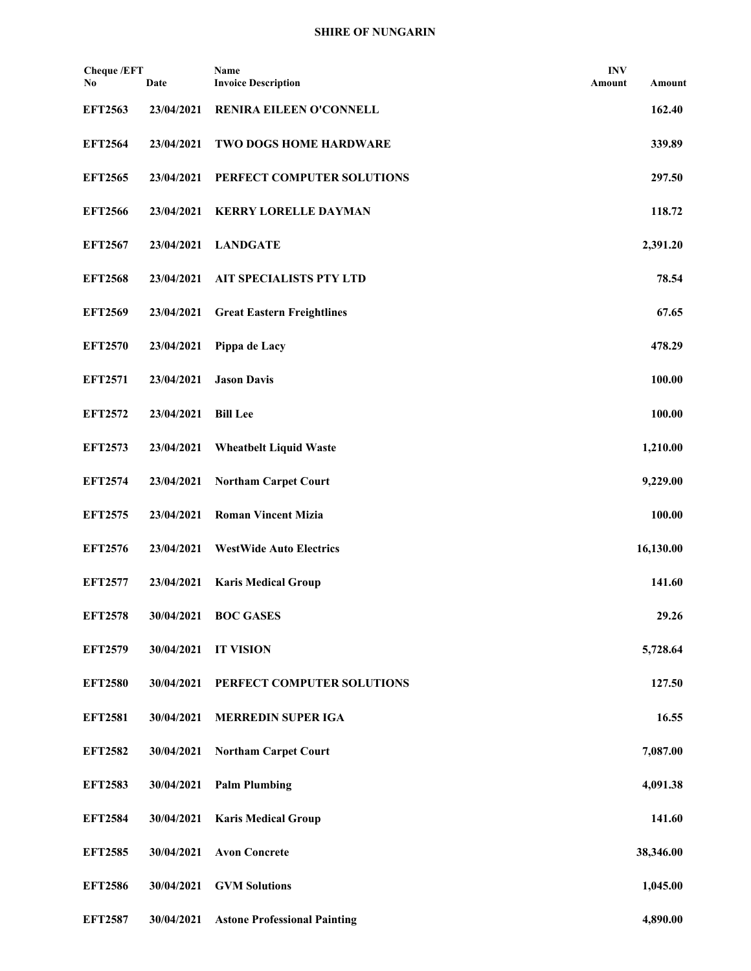| <b>Cheque /EFT</b><br>No | Date       | Name<br><b>Invoice Description</b>  | <b>INV</b><br>Amount | Amount    |
|--------------------------|------------|-------------------------------------|----------------------|-----------|
| <b>EFT2563</b>           | 23/04/2021 | RENIRA EILEEN O'CONNELL             |                      | 162.40    |
| <b>EFT2564</b>           | 23/04/2021 | TWO DOGS HOME HARDWARE              |                      | 339.89    |
| <b>EFT2565</b>           | 23/04/2021 | PERFECT COMPUTER SOLUTIONS          |                      | 297.50    |
| <b>EFT2566</b>           | 23/04/2021 | <b>KERRY LORELLE DAYMAN</b>         |                      | 118.72    |
| <b>EFT2567</b>           | 23/04/2021 | <b>LANDGATE</b>                     |                      | 2,391.20  |
| <b>EFT2568</b>           | 23/04/2021 | AIT SPECIALISTS PTY LTD             |                      | 78.54     |
| <b>EFT2569</b>           | 23/04/2021 | <b>Great Eastern Freightlines</b>   |                      | 67.65     |
| <b>EFT2570</b>           | 23/04/2021 | Pippa de Lacy                       |                      | 478.29    |
| <b>EFT2571</b>           | 23/04/2021 | <b>Jason Davis</b>                  |                      | 100.00    |
| <b>EFT2572</b>           | 23/04/2021 | <b>Bill Lee</b>                     |                      | 100.00    |
| <b>EFT2573</b>           | 23/04/2021 | <b>Wheatbelt Liquid Waste</b>       |                      | 1,210.00  |
| <b>EFT2574</b>           | 23/04/2021 | <b>Northam Carpet Court</b>         |                      | 9,229.00  |
| <b>EFT2575</b>           | 23/04/2021 | <b>Roman Vincent Mizia</b>          |                      | 100.00    |
| <b>EFT2576</b>           | 23/04/2021 | <b>WestWide Auto Electrics</b>      |                      | 16,130.00 |
| <b>EFT2577</b>           | 23/04/2021 | <b>Karis Medical Group</b>          |                      | 141.60    |
| <b>EFT2578</b>           | 30/04/2021 | <b>BOC GASES</b>                    |                      | 29.26     |
| <b>EFT2579</b>           | 30/04/2021 | <b>IT VISION</b>                    |                      | 5,728.64  |
| <b>EFT2580</b>           | 30/04/2021 | PERFECT COMPUTER SOLUTIONS          |                      | 127.50    |
| <b>EFT2581</b>           | 30/04/2021 | <b>MERREDIN SUPER IGA</b>           |                      | 16.55     |
| <b>EFT2582</b>           | 30/04/2021 | <b>Northam Carpet Court</b>         |                      | 7,087.00  |
| <b>EFT2583</b>           | 30/04/2021 | <b>Palm Plumbing</b>                |                      | 4,091.38  |
| <b>EFT2584</b>           | 30/04/2021 | <b>Karis Medical Group</b>          |                      | 141.60    |
| <b>EFT2585</b>           | 30/04/2021 | <b>Avon Concrete</b>                |                      | 38,346.00 |
| <b>EFT2586</b>           | 30/04/2021 | <b>GVM Solutions</b>                |                      | 1,045.00  |
| <b>EFT2587</b>           | 30/04/2021 | <b>Astone Professional Painting</b> |                      | 4,890.00  |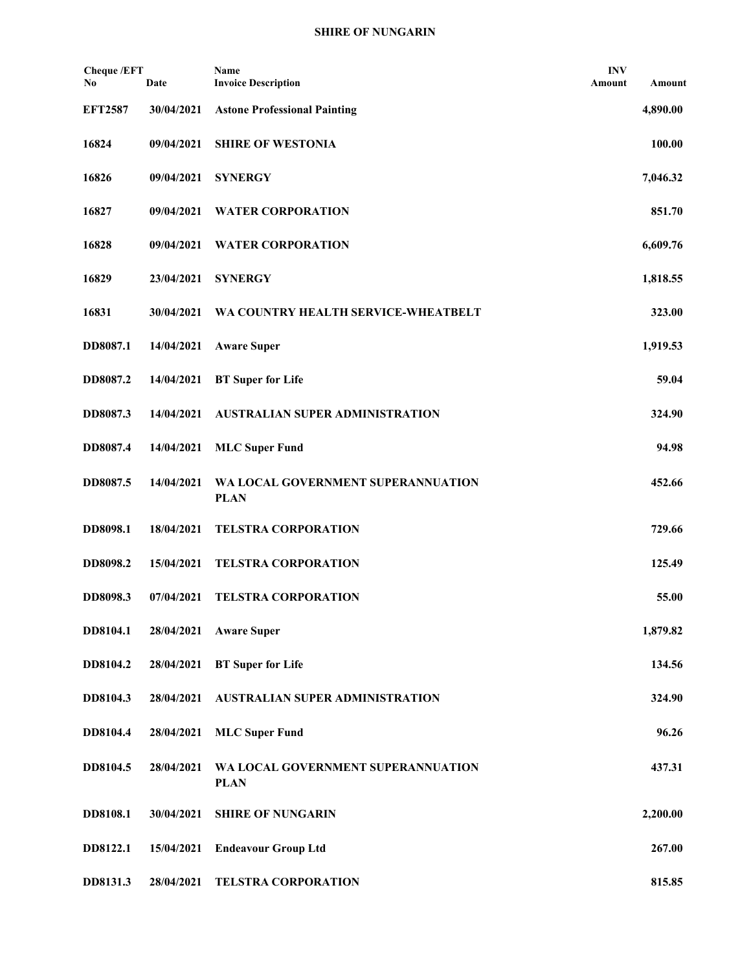| <b>Cheque /EFT</b><br>No | Date       | Name<br><b>Invoice Description</b>                | <b>INV</b><br>Amount | Amount   |
|--------------------------|------------|---------------------------------------------------|----------------------|----------|
| <b>EFT2587</b>           | 30/04/2021 | <b>Astone Professional Painting</b>               |                      | 4,890.00 |
| 16824                    | 09/04/2021 | <b>SHIRE OF WESTONIA</b>                          |                      | 100.00   |
| 16826                    | 09/04/2021 | <b>SYNERGY</b>                                    |                      | 7,046.32 |
| 16827                    | 09/04/2021 | <b>WATER CORPORATION</b>                          |                      | 851.70   |
| 16828                    | 09/04/2021 | <b>WATER CORPORATION</b>                          |                      | 6,609.76 |
| 16829                    | 23/04/2021 | <b>SYNERGY</b>                                    |                      | 1,818.55 |
| 16831                    | 30/04/2021 | WA COUNTRY HEALTH SERVICE-WHEATBELT               |                      | 323.00   |
| DD8087.1                 | 14/04/2021 | <b>Aware Super</b>                                |                      | 1,919.53 |
| DD8087.2                 | 14/04/2021 | <b>BT</b> Super for Life                          |                      | 59.04    |
| DD8087.3                 | 14/04/2021 | <b>AUSTRALIAN SUPER ADMINISTRATION</b>            |                      | 324.90   |
| DD8087.4                 | 14/04/2021 | <b>MLC Super Fund</b>                             |                      | 94.98    |
| DD8087.5                 | 14/04/2021 | WA LOCAL GOVERNMENT SUPERANNUATION<br><b>PLAN</b> |                      | 452.66   |
| DD8098.1                 | 18/04/2021 | <b>TELSTRA CORPORATION</b>                        |                      | 729.66   |
| DD8098.2                 | 15/04/2021 | <b>TELSTRA CORPORATION</b>                        |                      | 125.49   |
| DD8098.3                 | 07/04/2021 | <b>TELSTRA CORPORATION</b>                        |                      | 55.00    |
| DD8104.1                 | 28/04/2021 | <b>Aware Super</b>                                |                      | 1,879.82 |
| DD8104.2                 | 28/04/2021 | <b>BT</b> Super for Life                          |                      | 134.56   |
| DD8104.3                 | 28/04/2021 | AUSTRALIAN SUPER ADMINISTRATION                   |                      | 324.90   |
| DD8104.4                 | 28/04/2021 | <b>MLC Super Fund</b>                             |                      | 96.26    |
| DD8104.5                 | 28/04/2021 | WA LOCAL GOVERNMENT SUPERANNUATION<br><b>PLAN</b> |                      | 437.31   |
| DD8108.1                 | 30/04/2021 | <b>SHIRE OF NUNGARIN</b>                          |                      | 2,200.00 |
| DD8122.1                 | 15/04/2021 | <b>Endeavour Group Ltd</b>                        |                      | 267.00   |
| DD8131.3                 | 28/04/2021 | TELSTRA CORPORATION                               |                      | 815.85   |